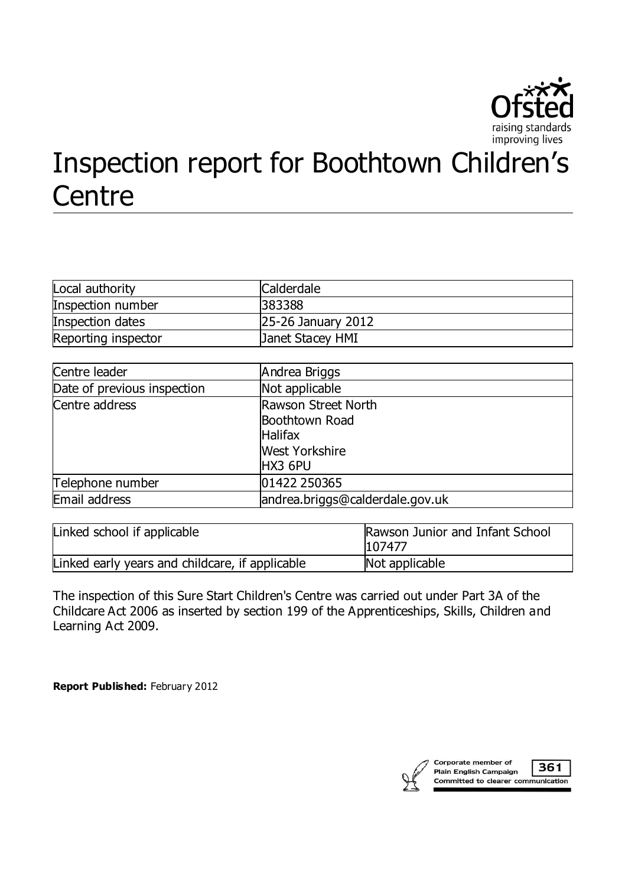

# Inspection report for Boothtown Children's **Centre**

| Local authority     | <b>Calderdale</b>         |
|---------------------|---------------------------|
| Inspection number   | 383388                    |
| Inspection dates    | <b>25-26 January 2012</b> |
| Reporting inspector | Janet Stacey HMI          |

| Centre leader               | Andrea Briggs                   |
|-----------------------------|---------------------------------|
| Date of previous inspection | Not applicable                  |
| Centre address              | Rawson Street North             |
|                             | Boothtown Road                  |
|                             | <b>Halifax</b>                  |
|                             | <b>West Yorkshire</b>           |
|                             | HX3 6PU                         |
| Telephone number            | 01422 250365                    |
| Email address               | andrea.briggs@calderdale.gov.uk |

| Linked school if applicable                     | Rawson Junior and Infant School<br>107477 |
|-------------------------------------------------|-------------------------------------------|
| Linked early years and childcare, if applicable | Not applicable                            |

The inspection of this Sure Start Children's Centre was carried out under Part 3A of the Childcare Act 2006 as inserted by section 199 of the Apprenticeships, Skills, Children and Learning Act 2009.

**Report Published:** February 2012

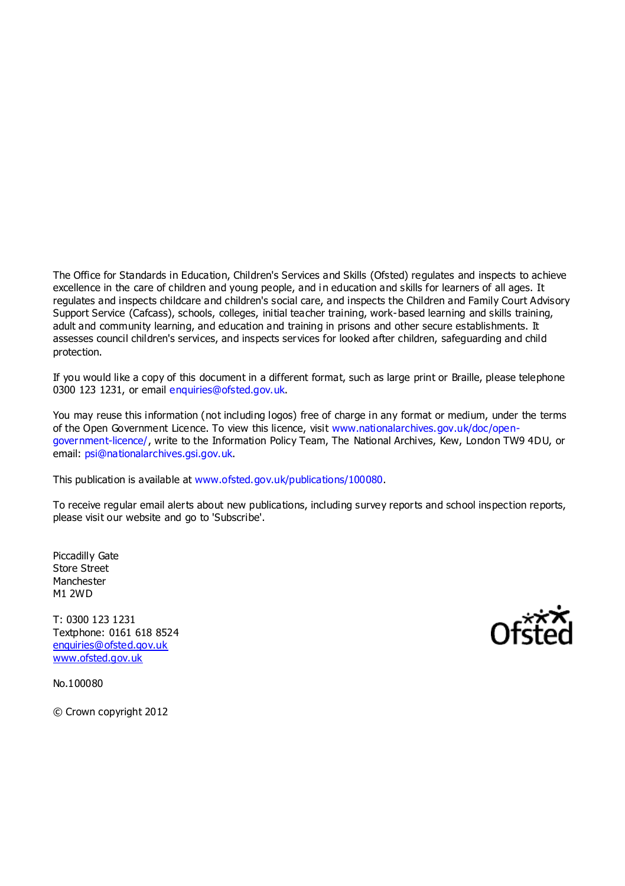The Office for Standards in Education, Children's Services and Skills (Ofsted) regulates and inspects to achieve excellence in the care of children and young people, and in education and skills for learners of all ages. It regulates and inspects childcare and children's social care, and inspects the Children and Family Court Advisory Support Service (Cafcass), schools, colleges, initial teacher training, work-based learning and skills training, adult and community learning, and education and training in prisons and other secure establishments. It assesses council children's services, and inspects services for looked after children, safeguarding and child protection.

If you would like a copy of this document in a different format, such as large print or Braille, please telephone 0300 123 1231, or email [enquiries@ofsted.gov.uk.](../AppData/staceyj/AppData/Local/Microsoft/Windows/Temporary%20Internet%20Files/Content.IE5/FV1QHV1F/enquiries@ofsted.gov.uk)

You may reuse this information (not including logos) free of charge in any format or medium, under the terms of the Open Government Licence. To view this licence, visit [www.nationalarchives.gov.uk/doc/open](../AppData/staceyj/AppData/Local/Microsoft/Windows/Temporary%20Internet%20Files/Content.IE5/FV1QHV1F/www.nationalarchives.gov.uk/doc/open-government-licence/)[government-licence/,](../AppData/staceyj/AppData/Local/Microsoft/Windows/Temporary%20Internet%20Files/Content.IE5/FV1QHV1F/www.nationalarchives.gov.uk/doc/open-government-licence/) write to the Information Policy Team, The National Archives, Kew, London TW9 4DU, or email: [psi@nationalarchives.gsi.gov.uk.](../AppData/staceyj/AppData/Local/Microsoft/Windows/Temporary%20Internet%20Files/Content.IE5/FV1QHV1F/psi@nationalarchives.gsi.gov.uk)

This publication is available at [www.ofsted.gov.uk/publications/100080.](../AppData/staceyj/AppData/Local/Microsoft/Windows/Temporary%20Internet%20Files/Content.IE5/FV1QHV1F/www.ofsted.gov.uk/publications/100080)

To receive regular email alerts about new publications, including survey reports and school inspection reports, please visit our website and go to 'Subscribe'.

Piccadilly Gate Store Street Manchester M1 2WD

T: 0300 123 1231 Textphone: 0161 618 8524 [enquiries@ofsted.gov.uk](mailto:enquiries@ofsted.gov.uk) [www.ofsted.gov.uk](http://www.ofsted.gov.uk/)

No.100080

© Crown copyright 2012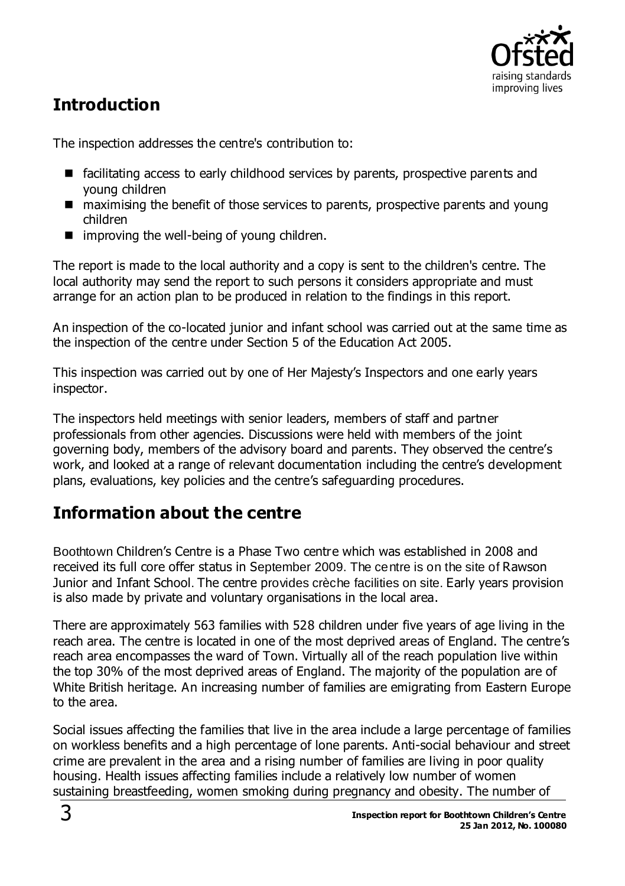

# **Introduction**

The inspection addresses the centre's contribution to:

- facilitating access to early childhood services by parents, prospective parents and young children
- maximising the benefit of those services to parents, prospective parents and young children
- $\blacksquare$  improving the well-being of young children.

The report is made to the local authority and a copy is sent to the children's centre. The local authority may send the report to such persons it considers appropriate and must arrange for an action plan to be produced in relation to the findings in this report.

An inspection of the co-located junior and infant school was carried out at the same time as the inspection of the centre under Section 5 of the Education Act 2005.

This inspection was carried out by one of Her Majesty's Inspectors and one early years inspector.

The inspectors held meetings with senior leaders, members of staff and partner professionals from other agencies. Discussions were held with members of the joint governing body, members of the advisory board and parents. They observed the centre's work, and looked at a range of relevant documentation including the centre's development plans, evaluations, key policies and the centre's safeguarding procedures.

### **Information about the centre**

Boothtown Children's Centre is a Phase Two centre which was established in 2008 and received its full core offer status in September 2009. The centre is on the site of Rawson Junior and Infant School. The centre provides crèche facilities on site. Early years provision is also made by private and voluntary organisations in the local area.

There are approximately 563 families with 528 children under five years of age living in the reach area. The centre is located in one of the most deprived areas of England. The centre's reach area encompasses the ward of Town. Virtually all of the reach population live within the top 30% of the most deprived areas of England. The majority of the population are of White British heritage. An increasing number of families are emigrating from Eastern Europe to the area.

Social issues affecting the families that live in the area include a large percentage of families on workless benefits and a high percentage of lone parents. Anti-social behaviour and street crime are prevalent in the area and a rising number of families are living in poor quality housing. Health issues affecting families include a relatively low number of women sustaining breastfeeding, women smoking during pregnancy and obesity. The number of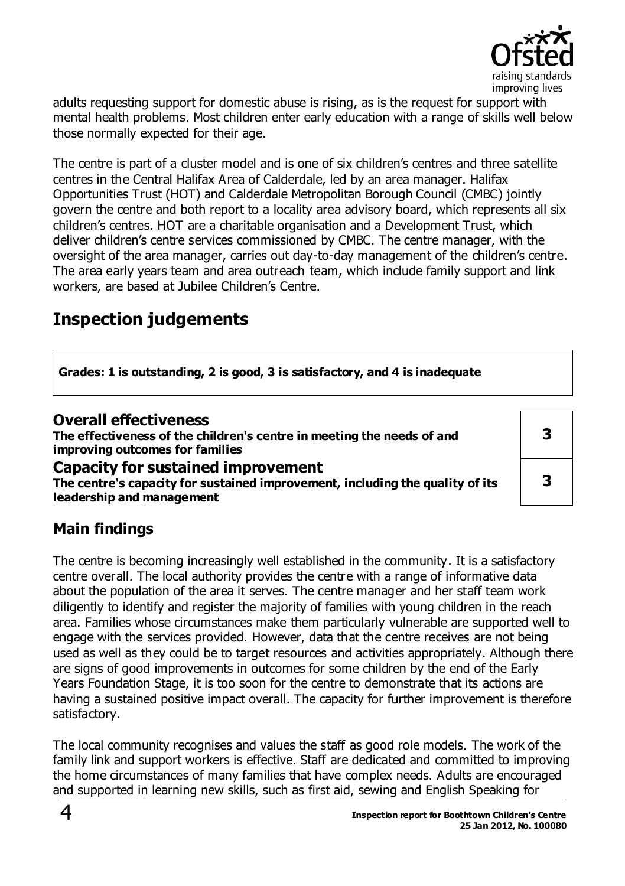

adults requesting support for domestic abuse is rising, as is the request for support with mental health problems. Most children enter early education with a range of skills well below those normally expected for their age.

The centre is part of a cluster model and is one of six children's centres and three satellite centres in the Central Halifax Area of Calderdale, led by an area manager. Halifax Opportunities Trust (HOT) and Calderdale Metropolitan Borough Council (CMBC) jointly govern the centre and both report to a locality area advisory board, which represents all six children's centres. HOT are a charitable organisation and a Development Trust, which deliver children's centre services commissioned by CMBC. The centre manager, with the oversight of the area manager, carries out day-to-day management of the children's centre. The area early years team and area outreach team, which include family support and link workers, are based at Jubilee Children's Centre.

## **Inspection judgements**

**Grades: 1 is outstanding, 2 is good, 3 is satisfactory, and 4 is inadequate**

#### **Overall effectiveness**

**The effectiveness of the children's centre in meeting the needs of and improving outcomes for families**

#### **Capacity for sustained improvement**

**The centre's capacity for sustained improvement, including the quality of its leadership and management** 

# **3 3**

#### **Main findings**

The centre is becoming increasingly well established in the community. It is a satisfactory centre overall. The local authority provides the centre with a range of informative data about the population of the area it serves. The centre manager and her staff team work diligently to identify and register the majority of families with young children in the reach area. Families whose circumstances make them particularly vulnerable are supported well to engage with the services provided. However, data that the centre receives are not being used as well as they could be to target resources and activities appropriately. Although there are signs of good improvements in outcomes for some children by the end of the Early Years Foundation Stage, it is too soon for the centre to demonstrate that its actions are having a sustained positive impact overall. The capacity for further improvement is therefore satisfactory.

The local community recognises and values the staff as good role models. The work of the family link and support workers is effective. Staff are dedicated and committed to improving the home circumstances of many families that have complex needs. Adults are encouraged and supported in learning new skills, such as first aid, sewing and English Speaking for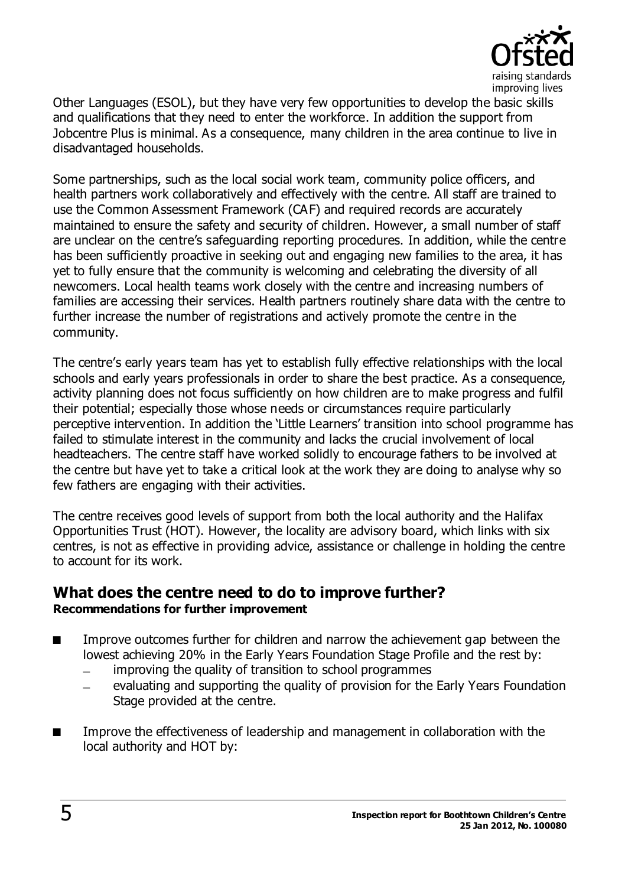

Other Languages (ESOL), but they have very few opportunities to develop the basic skills and qualifications that they need to enter the workforce. In addition the support from Jobcentre Plus is minimal. As a consequence, many children in the area continue to live in disadvantaged households.

Some partnerships, such as the local social work team, community police officers, and health partners work collaboratively and effectively with the centre. All staff are trained to use the Common Assessment Framework (CAF) and required records are accurately maintained to ensure the safety and security of children. However, a small number of staff are unclear on the centre's safeguarding reporting procedures. In addition, while the centre has been sufficiently proactive in seeking out and engaging new families to the area, it has yet to fully ensure that the community is welcoming and celebrating the diversity of all newcomers. Local health teams work closely with the centre and increasing numbers of families are accessing their services. Health partners routinely share data with the centre to further increase the number of registrations and actively promote the centre in the community.

The centre's early years team has yet to establish fully effective relationships with the local schools and early years professionals in order to share the best practice. As a consequence, activity planning does not focus sufficiently on how children are to make progress and fulfil their potential; especially those whose needs or circumstances require particularly perceptive intervention. In addition the 'Little Learners' transition into school programme has failed to stimulate interest in the community and lacks the crucial involvement of local headteachers. The centre staff have worked solidly to encourage fathers to be involved at the centre but have yet to take a critical look at the work they are doing to analyse why so few fathers are engaging with their activities.

The centre receives good levels of support from both the local authority and the Halifax Opportunities Trust (HOT). However, the locality are advisory board, which links with six centres, is not as effective in providing advice, assistance or challenge in holding the centre to account for its work.

#### **What does the centre need to do to improve further? Recommendations for further improvement**

- Improve outcomes further for children and narrow the achievement gap between the lowest achieving 20% in the Early Years Foundation Stage Profile and the rest by:
	- improving the quality of transition to school programmes
	- evaluating and supporting the quality of provision for the Early Years Foundation  $\equiv$ Stage provided at the centre.
- Improve the effectiveness of leadership and management in collaboration with the local authority and HOT by: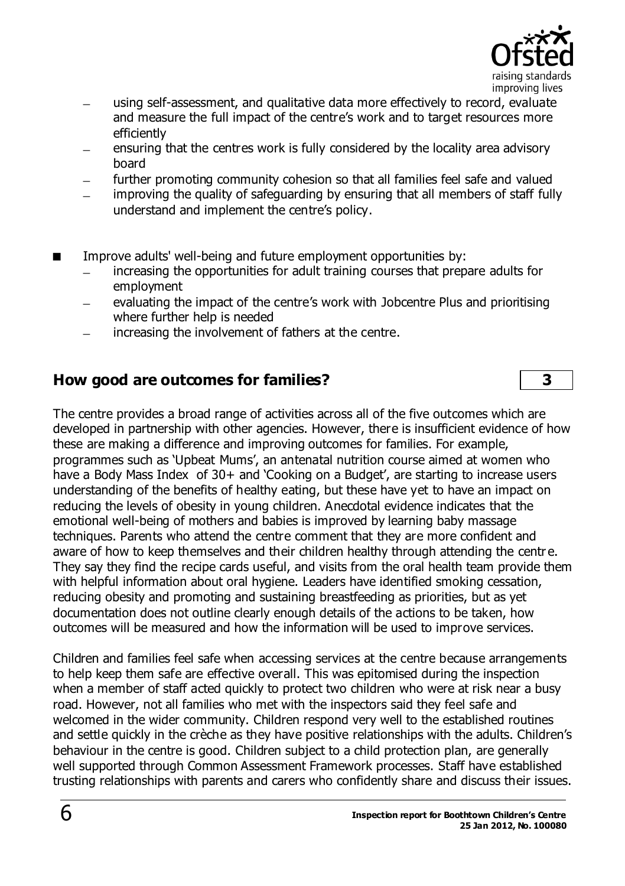

- using self-assessment, and qualitative data more effectively to record, evaluate and measure the full impact of the centre's work and to target resources more efficiently
- ensuring that the centres work is fully considered by the locality area advisory board
- further promoting community cohesion so that all families feel safe and valued
- improving the quality of safeguarding by ensuring that all members of staff fully understand and implement the centre's policy.
- Improve adults' well-being and future employment opportunities by:
	- increasing the opportunities for adult training courses that prepare adults for employment
	- evaluating the impact of the centre's work with Jobcentre Plus and prioritising where further help is needed
	- increasing the involvement of fathers at the centre.

#### **How good are outcomes for families? 3**

The centre provides a broad range of activities across all of the five outcomes which are developed in partnership with other agencies. However, there is insufficient evidence of how these are making a difference and improving outcomes for families. For example, programmes such as 'Upbeat Mums', an antenatal nutrition course aimed at women who have a Body Mass Index of 30+ and `Cooking on a Budget', are starting to increase users understanding of the benefits of healthy eating, but these have yet to have an impact on reducing the levels of obesity in young children. Anecdotal evidence indicates that the emotional well-being of mothers and babies is improved by learning baby massage techniques. Parents who attend the centre comment that they are more confident and aware of how to keep themselves and their children healthy through attending the centr e. They say they find the recipe cards useful, and visits from the oral health team provide them with helpful information about oral hygiene. Leaders have identified smoking cessation, reducing obesity and promoting and sustaining breastfeeding as priorities, but as yet documentation does not outline clearly enough details of the actions to be taken, how outcomes will be measured and how the information will be used to improve services.

Children and families feel safe when accessing services at the centre because arrangements to help keep them safe are effective overall. This was epitomised during the inspection when a member of staff acted quickly to protect two children who were at risk near a busy road. However, not all families who met with the inspectors said they feel safe and welcomed in the wider community. Children respond very well to the established routines and settle quickly in the crèche as they have positive relationships with the adults. Children's behaviour in the centre is good. Children subject to a child protection plan, are generally well supported through Common Assessment Framework processes. Staff have established trusting relationships with parents and carers who confidently share and discuss their issues.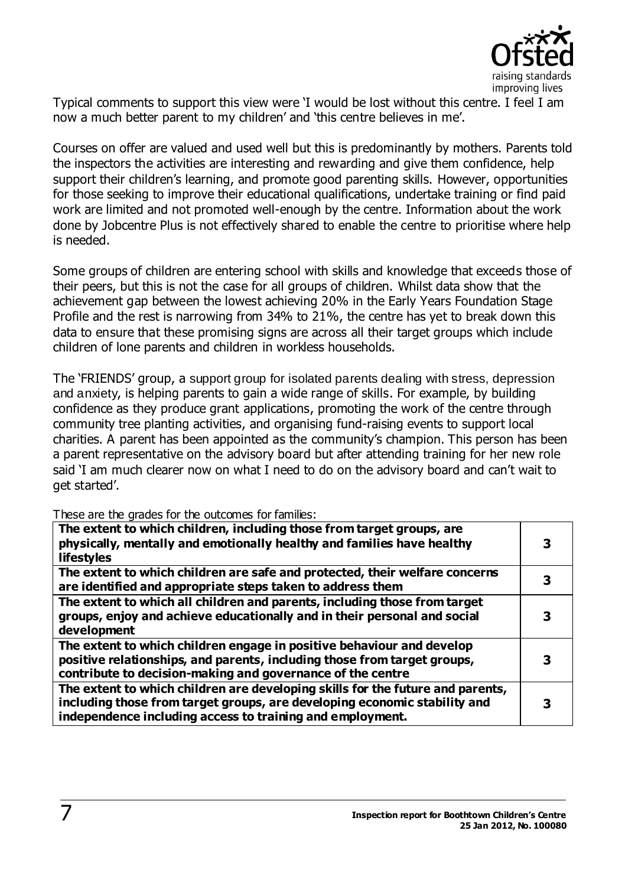

Typical comments to support this view were 'I would be lost without this centre. I feel I am now a much better parent to my children' and 'this centre believes in me'.

Courses on offer are valued and used well but this is predominantly by mothers. Parents told the inspectors the activities are interesting and rewarding and give them confidence, help support their children's learning, and promote good parenting skills. However, opportunities for those seeking to improve their educational qualifications, undertake training or find paid work are limited and not promoted well-enough by the centre. Information about the work done by Jobcentre Plus is not effectively shared to enable the centre to prioritise where help is needed.

Some groups of children are entering school with skills and knowledge that exceeds those of their peers, but this is not the case for all groups of children. Whilst data show that the achievement gap between the lowest achieving 20% in the Early Years Foundation Stage Profile and the rest is narrowing from 34% to 21%, the centre has yet to break down this data to ensure that these promising signs are across all their target groups which include children of lone parents and children in workless households.

The 'FRIENDS' group, a support group for isolated parents dealing with stress, depression and anxiety, is helping parents to gain a wide range of skills. For example, by building confidence as they produce grant applications, promoting the work of the centre through community tree planting activities, and organising fund-raising events to support local charities. A parent has been appointed as the community's champion. This person has been a parent representative on the advisory board but after attending training for her new role said 'I am much clearer now on what I need to do on the advisory board and can't wait to get started'.

These are the grades for the outcomes for families:

| The extent to which children, including those from target groups, are<br>physically, mentally and emotionally healthy and families have healthy<br><b>lifestyles</b>                                                     |  |
|--------------------------------------------------------------------------------------------------------------------------------------------------------------------------------------------------------------------------|--|
| The extent to which children are safe and protected, their welfare concerns<br>are identified and appropriate steps taken to address them                                                                                |  |
| The extent to which all children and parents, including those from target<br>groups, enjoy and achieve educationally and in their personal and social<br>development                                                     |  |
| The extent to which children engage in positive behaviour and develop<br>positive relationships, and parents, including those from target groups,<br>contribute to decision-making and governance of the centre          |  |
| The extent to which children are developing skills for the future and parents,<br>including those from target groups, are developing economic stability and<br>independence including access to training and employment. |  |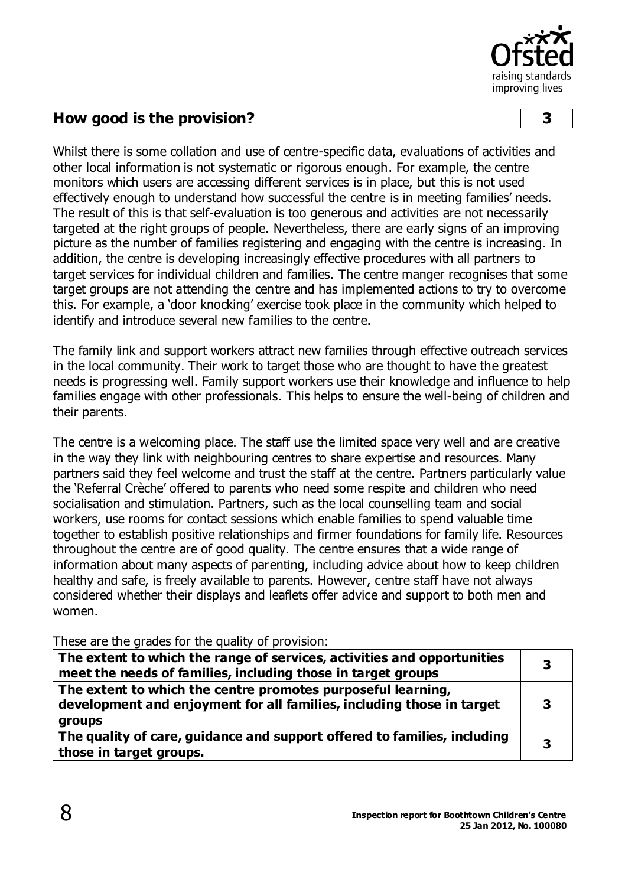

#### **How good is the provision? 3**

Whilst there is some collation and use of centre-specific data, evaluations of activities and other local information is not systematic or rigorous enough. For example, the centre monitors which users are accessing different services is in place, but this is not used effectively enough to understand how successful the centre is in meeting families' needs. The result of this is that self-evaluation is too generous and activities are not necessarily targeted at the right groups of people. Nevertheless, there are early signs of an improving picture as the number of families registering and engaging with the centre is increasing. In addition, the centre is developing increasingly effective procedures with all partners to target services for individual children and families. The centre manger recognises that some target groups are not attending the centre and has implemented actions to try to overcome this. For example, a 'door knocking' exercise took place in the community which helped to identify and introduce several new families to the centre.

The family link and support workers attract new families through effective outreach services in the local community. Their work to target those who are thought to have the greatest needs is progressing well. Family support workers use their knowledge and influence to help families engage with other professionals. This helps to ensure the well-being of children and their parents.

The centre is a welcoming place. The staff use the limited space very well and are creative in the way they link with neighbouring centres to share expertise and resources. Many partners said they feel welcome and trust the staff at the centre. Partners particularly value the 'Referral Crèche' offered to parents who need some respite and children who need socialisation and stimulation. Partners, such as the local counselling team and social workers, use rooms for contact sessions which enable families to spend valuable time together to establish positive relationships and firmer foundations for family life. Resources throughout the centre are of good quality. The centre ensures that a wide range of information about many aspects of parenting, including advice about how to keep children healthy and safe, is freely available to parents. However, centre staff have not always considered whether their displays and leaflets offer advice and support to both men and women.

These are the grades for the quality of provision:

| The extent to which the range of services, activities and opportunities<br>meet the needs of families, including those in target groups         |  |
|-------------------------------------------------------------------------------------------------------------------------------------------------|--|
| The extent to which the centre promotes purposeful learning,<br>development and enjoyment for all families, including those in target<br>groups |  |
| The quality of care, guidance and support offered to families, including<br>those in target groups.                                             |  |

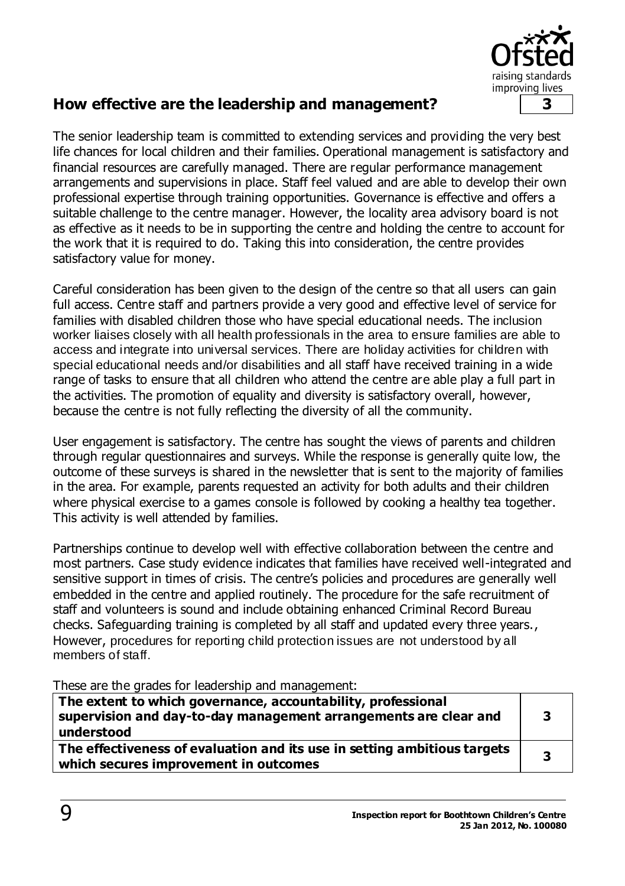

#### **How effective are the leadership and management? 3**

The senior leadership team is committed to extending services and providing the very best life chances for local children and their families. Operational management is satisfactory and financial resources are carefully managed. There are regular performance management arrangements and supervisions in place. Staff feel valued and are able to develop their own professional expertise through training opportunities. Governance is effective and offers a suitable challenge to the centre manager. However, the locality area advisory board is not as effective as it needs to be in supporting the centre and holding the centre to account for the work that it is required to do. Taking this into consideration, the centre provides satisfactory value for money.

Careful consideration has been given to the design of the centre so that all users can gain full access. Centre staff and partners provide a very good and effective level of service for families with disabled children those who have special educational needs. The inclusion worker liaises closely with all health professionals in the area to ensure families are able to access and integrate into universal services. There are holiday activities for children with special educational needs and/or disabilities and all staff have received training in a wide range of tasks to ensure that all children who attend the centre are able play a full part in the activities. The promotion of equality and diversity is satisfactory overall, however, because the centre is not fully reflecting the diversity of all the community.

User engagement is satisfactory. The centre has sought the views of parents and children through regular questionnaires and surveys. While the response is generally quite low, the outcome of these surveys is shared in the newsletter that is sent to the majority of families in the area. For example, parents requested an activity for both adults and their children where physical exercise to a games console is followed by cooking a healthy tea together. This activity is well attended by families.

Partnerships continue to develop well with effective collaboration between the centre and most partners. Case study evidence indicates that families have received well-integrated and sensitive support in times of crisis. The centre's policies and procedures are generally well embedded in the centre and applied routinely. The procedure for the safe recruitment of staff and volunteers is sound and include obtaining enhanced Criminal Record Bureau checks. Safeguarding training is completed by all staff and updated every three years., However, procedures for reporting child protection issues are not understood by all members of staff.

These are the grades for leadership and management:

| The extent to which governance, accountability, professional<br>supervision and day-to-day management arrangements are clear and<br>understood |   |
|------------------------------------------------------------------------------------------------------------------------------------------------|---|
| The effectiveness of evaluation and its use in setting ambitious targets<br>which secures improvement in outcomes                              | 2 |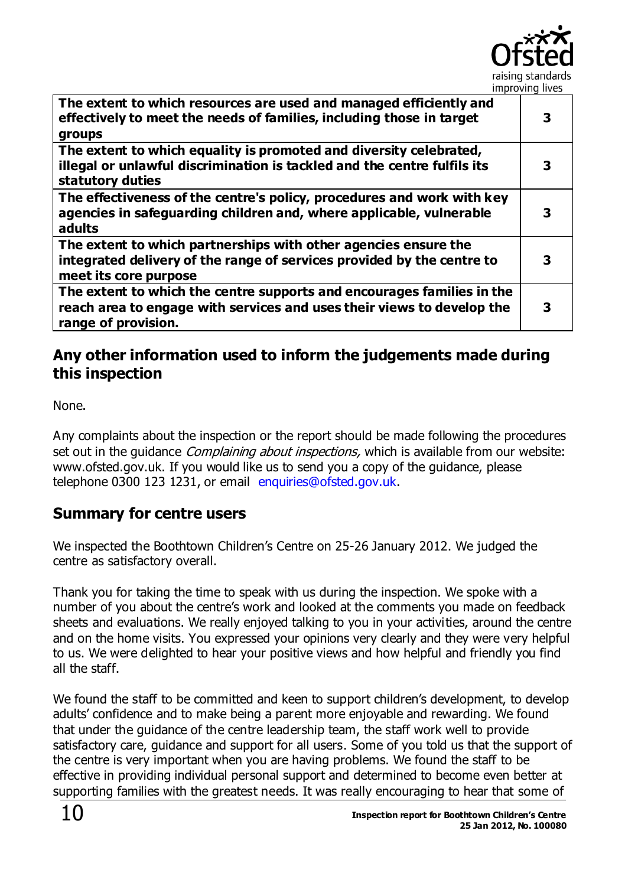

| The extent to which resources are used and managed efficiently and<br>effectively to meet the needs of families, including those in target<br>groups                    | 3 |
|-------------------------------------------------------------------------------------------------------------------------------------------------------------------------|---|
| The extent to which equality is promoted and diversity celebrated,<br>illegal or unlawful discrimination is tackled and the centre fulfils its<br>statutory duties      | 3 |
| The effectiveness of the centre's policy, procedures and work with key<br>agencies in safeguarding children and, where applicable, vulnerable<br>adults                 |   |
| The extent to which partnerships with other agencies ensure the<br>integrated delivery of the range of services provided by the centre to<br>meet its core purpose      |   |
| The extent to which the centre supports and encourages families in the<br>reach area to engage with services and uses their views to develop the<br>range of provision. |   |

#### **Any other information used to inform the judgements made during this inspection**

None.

Any complaints about the inspection or the report should be made following the procedures set out in the quidance *Complaining about inspections*, which is available from our website: www.ofsted.gov.uk. If you would like us to send you a copy of the guidance, please telephone 0300 123 1231, or email [enquiries@ofsted.gov.uk.](mailto:%20enquiries@ofsted.gov.uk)

#### **Summary for centre users**

We inspected the Boothtown Children's Centre on 25-26 January 2012. We judged the centre as satisfactory overall.

Thank you for taking the time to speak with us during the inspection. We spoke with a number of you about the centre's work and looked at the comments you made on feedback sheets and evaluations. We really enjoyed talking to you in your activities, around the centre and on the home visits. You expressed your opinions very clearly and they were very helpful to us. We were delighted to hear your positive views and how helpful and friendly you find all the staff.

We found the staff to be committed and keen to support children's development, to develop adults' confidence and to make being a parent more enjoyable and rewarding. We found that under the guidance of the centre leadership team, the staff work well to provide satisfactory care, guidance and support for all users. Some of you told us that the support of the centre is very important when you are having problems. We found the staff to be effective in providing individual personal support and determined to become even better at supporting families with the greatest needs. It was really encouraging to hear that some of